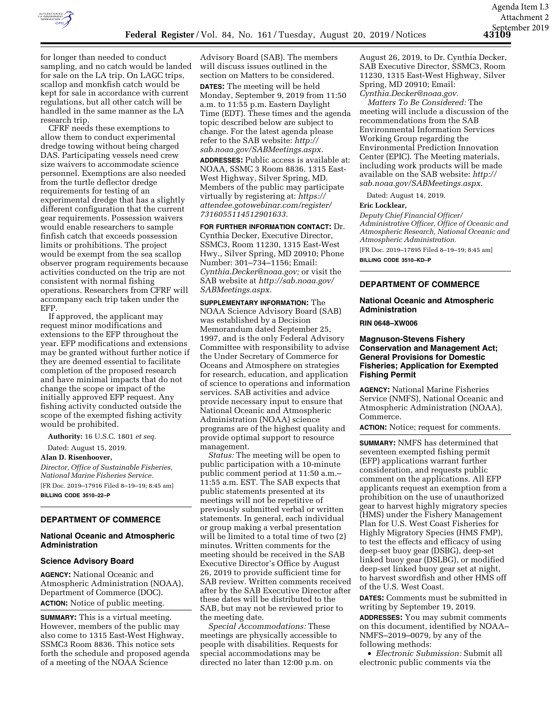

for longer than needed to conduct sampling, and no catch would be landed for sale on the LA trip. On LAGC trips, scallop and monkfish catch would be kept for sale in accordance with current regulations, but all other catch will be handled in the same manner as the LA research trip.

CFRF needs these exemptions to allow them to conduct experimental dredge towing without being charged DAS. Participating vessels need crew size waivers to accommodate science personnel. Exemptions are also needed from the turtle deflector dredge requirements for testing of an experimental dredge that has a slightly different configuration that the current gear requirements. Possession waivers would enable researchers to sample finfish catch that exceeds possession limits or prohibitions. The project would be exempt from the sea scallop observer program requirements because activities conducted on the trip are not consistent with normal fishing operations. Researchers from CFRF will accompany each trip taken under the EFP.

If approved, the applicant may request minor modifications and extensions to the EFP throughout the year. EFP modifications and extensions may be granted without further notice if they are deemed essential to facilitate completion of the proposed research and have minimal impacts that do not change the scope or impact of the initially approved EFP request. Any fishing activity conducted outside the scope of the exempted fishing activity would be prohibited.

**Authority:** 16 U.S.C. 1801 *et seq.* 

Dated: August 15, 2019.

**Alan D. Risenhoover,** 

*Director, Office of Sustainable Fisheries, National Marine Fisheries Service.*  [FR Doc. 2019–17916 Filed 8–19–19; 8:45 am] **BILLING CODE 3510–22–P** 

# **DEPARTMENT OF COMMERCE**

# **National Oceanic and Atmospheric Administration**

### **Science Advisory Board**

**AGENCY:** National Oceanic and Atmospheric Administration (NOAA), Department of Commerce (DOC). **ACTION:** Notice of public meeting.

**SUMMARY:** This is a virtual meeting. However, members of the public may also come to 1315 East-West Highway, SSMC3 Room 8836. This notice sets forth the schedule and proposed agenda of a meeting of the NOAA Science

Advisory Board (SAB). The members will discuss issues outlined in the section on Matters to be considered.

**DATES:** The meeting will be held Monday, September 9, 2019 from 11:50 a.m. to 11:55 p.m. Eastern Daylight Time (EDT). These times and the agenda topic described below are subject to change. For the latest agenda please refer to the SAB website: *http:// sab.noaa.gov/SABMeetings.aspx.*

**ADDRESSES:** Public access is available at: NOAA, SSMC 3 Room 8836. 1315 East-West Highway, Silver Spring, MD. Members of the public may participate virtually by registering at: *https:// attendee.gotowebinar.com/register/ 7316055114512901633.*

**FOR FURTHER INFORMATION CONTACT:** Dr. Cynthia Decker, Executive Director, SSMC3, Room 11230, 1315 East-West Hwy., Silver Spring, MD 20910; Phone Number: 301–734–1156; Email: *Cynthia.Decker@noaa.gov;* or visit the SAB website at *http://sab.noaa.gov/ SABMeetings.aspx.* 

**SUPPLEMENTARY INFORMATION:** The NOAA Science Advisory Board (SAB) was established by a Decision Memorandum dated September 25, 1997, and is the only Federal Advisory Committee with responsibility to advise the Under Secretary of Commerce for Oceans and Atmosphere on strategies for research, education, and application of science to operations and information services. SAB activities and advice provide necessary input to ensure that National Oceanic and Atmospheric Administration (NOAA) science programs are of the highest quality and provide optimal support to resource management.

*Status:* The meeting will be open to public participation with a 10-minute public comment period at 11:50 a.m.– 11:55 a.m. EST. The SAB expects that public statements presented at its meetings will not be repetitive of previously submitted verbal or written statements. In general, each individual or group making a verbal presentation will be limited to a total time of two (2) minutes. Written comments for the meeting should be received in the SAB Executive Director's Office by August 26, 2019 to provide sufficient time for SAB review. Written comments received after by the SAB Executive Director after these dates will be distributed to the SAB, but may not be reviewed prior to the meeting date.

*Special Accommodations:* These meetings are physically accessible to people with disabilities. Requests for special accommodations may be directed no later than 12:00 p.m. on

August 26, 2019, to Dr. Cynthia Decker, SAB Executive Director, SSMC3, Room 11230, 1315 East-West Highway, Silver Spring, MD 20910; Email: *Cynthia.Decker@noaa.gov.* 

*Matters To Be Considered:* The meeting will include a discussion of the recommendations from the SAB Environmental Information Services Working Group regarding the Environmental Prediction Innovation Center (EPIC). The Meeting materials, including work products will be made available on the SAB website: *http:// sab.noaa.gov/SABMeetings.aspx.* 

Dated: August 14, 2019.

### **Eric Locklear,**

*Deputy Chief Financial Officer/ Administrative Officer, Office of Oceanic and Atmospheric Research, National Oceanic and Atmospheric Administration.*  [FR Doc. 2019–17895 Filed 8–19–19; 8:45 am]

**BILLING CODE 3510–KD–P** 

### **DEPARTMENT OF COMMERCE**

# **National Oceanic and Atmospheric Administration**

**RIN 0648–XW006** 

## **Magnuson-Stevens Fishery Conservation and Management Act; General Provisions for Domestic Fisheries; Application for Exempted Fishing Permit**

**AGENCY:** National Marine Fisheries Service (NMFS), National Oceanic and Atmospheric Administration (NOAA), Commerce.

**ACTION:** Notice; request for comments.

**SUMMARY:** NMFS has determined that seventeen exempted fishing permit (EFP) applications warrant further consideration, and requests public comment on the applications. All EFP applicants request an exemption from a prohibition on the use of unauthorized gear to harvest highly migratory species (HMS) under the Fishery Management Plan for U.S. West Coast Fisheries for Highly Migratory Species (HMS FMP), to test the effects and efficacy of using deep-set buoy gear (DSBG), deep-set linked buoy gear (DSLBG), or modified deep-set linked buoy gear set at night, to harvest swordfish and other HMS off of the U.S. West Coast.

**DATES:** Comments must be submitted in writing by September 19, 2019.

**ADDRESSES:** You may submit comments on this document, identified by NOAA– NMFS–2019–0079, by any of the following methods:

• *Electronic Submission:* Submit all electronic public comments via the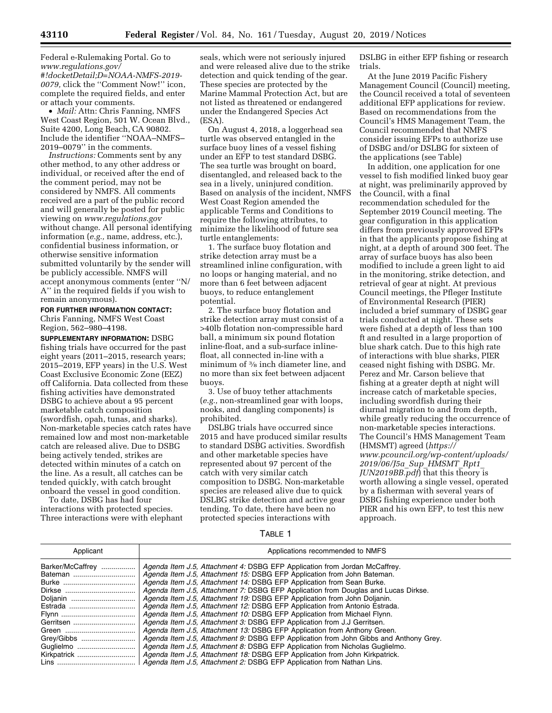Federal e-Rulemaking Portal. Go to *www.regulations.gov/* 

*#!docketDetail;D=NOAA-NMFS-2019- 0079,* click the ''Comment Now!'' icon, complete the required fields, and enter or attach your comments.

• *Mail:* Attn: Chris Fanning, NMFS West Coast Region, 501 W. Ocean Blvd., Suite 4200, Long Beach, CA 90802. Include the identifier ''NOAA–NMFS– 2019–0079'' in the comments.

*Instructions:* Comments sent by any other method, to any other address or individual, or received after the end of the comment period, may not be considered by NMFS. All comments received are a part of the public record and will generally be posted for public viewing on *www.regulations.gov*  without change. All personal identifying information (*e.g.,* name, address, etc.), confidential business information, or otherwise sensitive information submitted voluntarily by the sender will be publicly accessible. NMFS will accept anonymous comments (enter ''N/ A'' in the required fields if you wish to remain anonymous).

# **FOR FURTHER INFORMATION CONTACT:**

Chris Fanning, NMFS West Coast Region, 562–980–4198.

**SUPPLEMENTARY INFORMATION:** DSBG fishing trials have occurred for the past eight years (2011–2015, research years; 2015–2019, EFP years) in the U.S. West Coast Exclusive Economic Zone (EEZ) off California. Data collected from these fishing activities have demonstrated DSBG to achieve about a 95 percent marketable catch composition (swordfish, opah, tunas, and sharks). Non-marketable species catch rates have remained low and most non-marketable catch are released alive. Due to DSBG being actively tended, strikes are detected within minutes of a catch on the line. As a result, all catches can be tended quickly, with catch brought onboard the vessel in good condition.

To date, DSBG has had four interactions with protected species. Three interactions were with elephant

seals, which were not seriously injured and were released alive due to the strike detection and quick tending of the gear. These species are protected by the Marine Mammal Protection Act, but are not listed as threatened or endangered under the Endangered Species Act (ESA).

On August 4, 2018, a loggerhead sea turtle was observed entangled in the surface buoy lines of a vessel fishing under an EFP to test standard DSBG. The sea turtle was brought on board, disentangled, and released back to the sea in a lively, uninjured condition. Based on analysis of the incident, NMFS West Coast Region amended the applicable Terms and Conditions to require the following attributes, to minimize the likelihood of future sea turtle entanglements:

1. The surface buoy flotation and strike detection array must be a streamlined inline configuration, with no loops or hanging material, and no more than 6 feet between adjacent buoys, to reduce entanglement potential.

2. The surface buoy flotation and strike detection array must consist of a >40lb flotation non-compressible hard ball, a minimum six pound flotation inline-float, and a sub-surface inlinefloat, all connected in-line with a minimum of 3⁄8 inch diameter line, and no more than six feet between adjacent buoys.

3. Use of buoy tether attachments (*e.g.,* non-streamlined gear with loops, nooks, and dangling components) is prohibited.

DSLBG trials have occurred since 2015 and have produced similar results to standard DSBG activities. Swordfish and other marketable species have represented about 97 percent of the catch with very similar catch composition to DSBG. Non-marketable species are released alive due to quick DSLBG strike detection and active gear tending. To date, there have been no protected species interactions with

DSLBG in either EFP fishing or research trials.

At the June 2019 Pacific Fishery Management Council (Council) meeting, the Council received a total of seventeen additional EFP applications for review. Based on recommendations from the Council's HMS Management Team, the Council recommended that NMFS consider issuing EFPs to authorize use of DSBG and/or DSLBG for sixteen of the applications (see Table)

In addition, one application for one vessel to fish modified linked buoy gear at night, was preliminarily approved by the Council, with a final recommendation scheduled for the September 2019 Council meeting. The gear configuration in this application differs from previously approved EFPs in that the applicants propose fishing at night, at a depth of around 300 feet. The array of surface buoys has also been modified to include a green light to aid in the monitoring, strike detection, and retrieval of gear at night. At previous Council meetings, the Pfleger Institute of Environmental Research (PIER) included a brief summary of DSBG gear trials conducted at night. These sets were fished at a depth of less than 100 ft and resulted in a large proportion of blue shark catch. Due to this high rate of interactions with blue sharks, PIER ceased night fishing with DSBG. Mr. Perez and Mr. Carson believe that fishing at a greater depth at night will increase catch of marketable species, including swordfish during their diurnal migration to and from depth, while greatly reducing the occurrence of non-marketable species interactions. The Council's HMS Management Team (HMSMT) agreed (*https:// www.pcouncil.org/wp-content/uploads/ 2019/06/J5a*\_*Sup*\_*HMSMT*\_*Rpt1*\_ *JUN2019BB.pdf*) that this theory is worth allowing a single vessel, operated by a fisherman with several years of DSBG fishing experience under both PIER and his own EFP, to test this new approach.

TABLE 1

| Applicant        | Applications recommended to NMFS                                                      |
|------------------|---------------------------------------------------------------------------------------|
| Barker/McCaffrey | Agenda Item J.5, Attachment 4: DSBG EFP Application from Jordan McCaffrey.            |
| Bateman          | Agenda Item J.5, Attachment 15: DSBG EFP Application from John Bateman.               |
|                  | Agenda Item J.5, Attachment 14: DSBG EFP Application from Sean Burke.                 |
|                  | Agenda Item J.5, Attachment 7: DSBG EFP Application from Douglas and Lucas Dirkse.    |
| Doljanin         | Agenda Item J.5, Attachment 19: DSBG EFP Application from John Doljanin.              |
|                  | Agenda Item J.5, Attachment 12: DSBG EFP Application from Antonio Estrada.            |
|                  | Agenda Item J.5, Attachment 10: DSBG EFP Application from Michael Flynn.              |
| Gerritsen        | Agenda Item J.5, Attachment 3: DSBG EFP Application from J.J Gerritsen.               |
|                  | Agenda Item J.5, Attachment 13: DSBG EFP Application from Anthony Green.              |
|                  | Agenda Item J.5, Attachment 9: DSBG EFP Application from John Gibbs and Anthony Grey. |
| Guglielmo        | Agenda Item J.5, Attachment 8: DSBG EFP Application from Nicholas Guglielmo.          |
|                  | Agenda Item J.5, Attachment 18: DSBG EFP Application from John Kirkpatrick.           |
|                  | Agenda Item J.5, Attachment 2: DSBG EFP Application from Nathan Lins.                 |